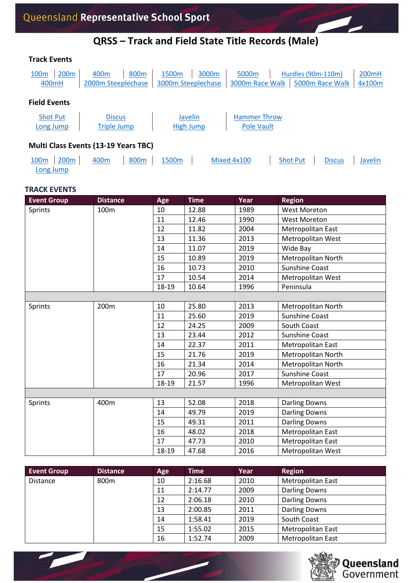### **QRSS – Track and Field State Title Records (Male)**

| <b>Track Events</b>          |                  |                                             |                  |                                         |       |                                          |                    |                 |                             |
|------------------------------|------------------|---------------------------------------------|------------------|-----------------------------------------|-------|------------------------------------------|--------------------|-----------------|-----------------------------|
| 100 <sub>m</sub><br>400mH    | 200m             | 400 <sub>m</sub><br>2000m Steeplechase      | 800m             | 1500 <sub>m</sub><br>3000m Steeplechase | 3000m | 5000m<br>3000m Race Walk                 | Hurdles (90m-110m) | 5000m Race Walk | 200 <sub>mH</sub><br>4x100m |
| <b>Field Events</b>          |                  |                                             |                  |                                         |       |                                          |                    |                 |                             |
| <b>Shot Put</b><br>Long Jump |                  | <b>Discus</b><br><b>Triple Jump</b>         |                  | Javelin<br>High Jump                    |       | <b>Hammer Throw</b><br><b>Pole Vault</b> |                    |                 |                             |
|                              |                  | <b>Multi Class Events (13-19 Years TBC)</b> |                  |                                         |       |                                          |                    |                 |                             |
| 100 <sub>m</sub>             | 200 <sub>m</sub> | 400 <sub>m</sub>                            | 800 <sub>m</sub> | 1500 <sub>m</sub>                       |       | Mixed 4x100                              | <b>Shot Put</b>    | <b>Discus</b>   | Javelin                     |

#### **TRACK EVENTS**

[Long Jump](#page-5-0)

<span id="page-0-1"></span><span id="page-0-0"></span>

| <b>Event Group</b> | <b>Distance</b> | Age   | <b>Time</b> | Year | <b>Region</b>             |
|--------------------|-----------------|-------|-------------|------|---------------------------|
| Sprints            | 100m            | 10    | 12.88       | 1989 | <b>West Moreton</b>       |
|                    |                 | 11    | 12.46       | 1990 | <b>West Moreton</b>       |
|                    |                 | 12    | 11.82       | 2004 | Metropolitan East         |
|                    |                 | 13    | 11.36       | 2013 | Metropolitan West         |
|                    |                 | 14    | 11.07       | 2019 | Wide Bay                  |
|                    |                 | 15    | 10.89       | 2019 | <b>Metropolitan North</b> |
|                    |                 | 16    | 10.73       | 2010 | Sunshine Coast            |
|                    |                 | 17    | 10.54       | 2014 | Metropolitan West         |
|                    |                 | 18-19 | 10.64       | 1996 | Peninsula                 |
|                    |                 |       |             |      |                           |
| Sprints            | 200m            | 10    | 25.80       | 2013 | Metropolitan North        |
|                    |                 | 11    | 25.60       | 2019 | <b>Sunshine Coast</b>     |
|                    |                 | 12    | 24.25       | 2009 | South Coast               |
|                    |                 | 13    | 23.44       | 2012 | Sunshine Coast            |
|                    |                 | 14    | 22.37       | 2011 | Metropolitan East         |
|                    |                 | 15    | 21.76       | 2019 | Metropolitan North        |
|                    |                 | 16    | 21.34       | 2014 | <b>Metropolitan North</b> |
|                    |                 | 17    | 20.96       | 2017 | <b>Sunshine Coast</b>     |
|                    |                 | 18-19 | 21.57       | 1996 | Metropolitan West         |
|                    |                 |       |             |      |                           |
| Sprints            | 400m            | 13    | 52.08       | 2018 | <b>Darling Downs</b>      |
|                    |                 | 14    | 49.79       | 2019 | <b>Darling Downs</b>      |
|                    |                 | 15    | 49.31       | 2011 | <b>Darling Downs</b>      |
|                    |                 | 16    | 48.02       | 2018 | Metropolitan East         |
|                    |                 | 17    | 47.73       | 2010 | Metropolitan East         |
|                    |                 | 18-19 | 47.68       | 2016 | Metropolitan West         |

<span id="page-0-3"></span><span id="page-0-2"></span>

| <b>Event Group</b> | <b>Distance</b> | Age | <b>Time</b> | Year | Region                   |
|--------------------|-----------------|-----|-------------|------|--------------------------|
| <b>Distance</b>    | 800m            | 10  | 2:16.68     | 2010 | <b>Metropolitan East</b> |
|                    |                 | 11  | 2:14.77     | 2009 | Darling Downs            |
|                    |                 | 12  | 2:06.18     | 2010 | Darling Downs            |
|                    |                 | 13  | 2:00.85     | 2011 | <b>Darling Downs</b>     |
|                    |                 | 14  | 1:58.41     | 2019 | South Coast              |
|                    |                 | 15  | 1:55.02     | 2015 | <b>Metropolitan East</b> |
|                    |                 | 16  | 1:52.74     | 2009 | Metropolitan East        |

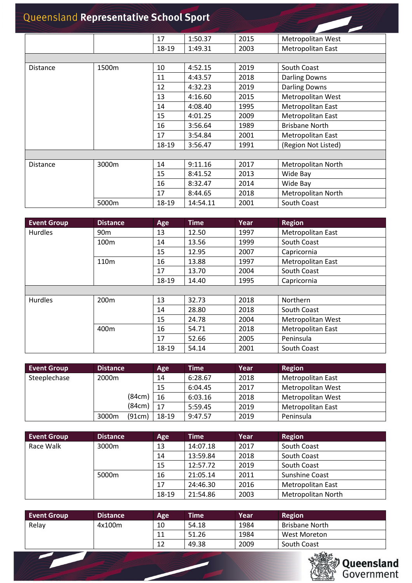<span id="page-1-0"></span>

|                 |       | 17    | 1:50.37  | 2015 | Metropolitan West     |
|-----------------|-------|-------|----------|------|-----------------------|
|                 |       | 18-19 | 1:49.31  | 2003 | Metropolitan East     |
|                 |       |       |          |      |                       |
| <b>Distance</b> | 1500m | 10    | 4:52.15  | 2019 | South Coast           |
|                 |       | 11    | 4:43.57  | 2018 | <b>Darling Downs</b>  |
|                 |       | 12    | 4:32.23  | 2019 | <b>Darling Downs</b>  |
|                 |       | 13    | 4:16.60  | 2015 | Metropolitan West     |
|                 |       | 14    | 4:08.40  | 1995 | Metropolitan East     |
|                 |       | 15    | 4:01.25  | 2009 | Metropolitan East     |
|                 |       | 16    | 3:56.64  | 1989 | <b>Brisbane North</b> |
|                 |       | 17    | 3:54.84  | 2001 | Metropolitan East     |
|                 |       | 18-19 | 3:56.47  | 1991 | (Region Not Listed)   |
|                 |       |       |          |      |                       |
| <b>Distance</b> | 3000m | 14    | 9:11.16  | 2017 | Metropolitan North    |
|                 |       | 15    | 8:41.52  | 2013 | Wide Bay              |
|                 |       | 16    | 8:32.47  | 2014 | Wide Bay              |
|                 |       | 17    | 8:44.65  | 2018 | Metropolitan North    |
|                 | 5000m | 18-19 | 14:54.11 | 2001 | South Coast           |

<span id="page-1-3"></span><span id="page-1-2"></span><span id="page-1-1"></span>

| <b>Event Group</b> | <b>Distance</b>  | Age   | <b>Time</b> | Year | <b>Region</b>            |
|--------------------|------------------|-------|-------------|------|--------------------------|
| <b>Hurdles</b>     | 90 <sub>m</sub>  | 13    | 12.50       | 1997 | Metropolitan East        |
|                    | 100 <sub>m</sub> | 14    | 13.56       | 1999 | South Coast              |
|                    |                  | 15    | 12.95       | 2007 | Capricornia              |
|                    | 110 <sub>m</sub> | 16    | 13.88       | 1997 | Metropolitan East        |
|                    |                  | 17    | 13.70       | 2004 | South Coast              |
|                    |                  | 18-19 | 14.40       | 1995 | Capricornia              |
|                    |                  |       |             |      |                          |
| <b>Hurdles</b>     | 200 <sub>m</sub> | 13    | 32.73       | 2018 | Northern                 |
|                    |                  | 14    | 28.80       | 2018 | South Coast              |
|                    |                  | 15    | 24.78       | 2004 | <b>Metropolitan West</b> |
|                    | 400 <sub>m</sub> | 16    | 54.71       | 2018 | Metropolitan East        |
|                    |                  | 17    | 52.66       | 2005 | Peninsula                |
|                    |                  | 18-19 | 54.14       | 2001 | South Coast              |

<span id="page-1-7"></span><span id="page-1-6"></span><span id="page-1-5"></span><span id="page-1-4"></span>

| <b>Event Group</b> | <b>Distance</b> |        | Age   | <b>Time</b> | Year' | <b>Region</b>            |
|--------------------|-----------------|--------|-------|-------------|-------|--------------------------|
| Steeplechase       | 2000m           |        | 14    | 6:28.67     | 2018  | <b>Metropolitan East</b> |
|                    |                 |        | 15    | 6:04.45     | 2017  | <b>Metropolitan West</b> |
|                    |                 | (84cm) | 16    | 6:03.16     | 2018  | <b>Metropolitan West</b> |
|                    |                 | (84cm) | 17    | 5:59.45     | 2019  | <b>Metropolitan East</b> |
|                    | 3000m           | (91cm) | 18-19 | 9:47.57     | 2019  | Peninsula                |

<span id="page-1-8"></span>

| <b>Event Group</b> | <b>Distance</b> | Age   | <b>Time</b> | Year | <b>Region</b>            |
|--------------------|-----------------|-------|-------------|------|--------------------------|
| Race Walk          | 3000m           | 13    | 14:07.18    | 2017 | South Coast              |
|                    |                 | 14    | 13:59.84    | 2018 | South Coast              |
|                    |                 | 15    | 12:57.72    | 2019 | South Coast              |
|                    | 5000m           | 16    | 21:05.14    | 2011 | <b>Sunshine Coast</b>    |
|                    |                 | 17    | 24:46.30    | 2016 | <b>Metropolitan East</b> |
|                    |                 | 18-19 | 21:54.86    | 2003 | Metropolitan North       |

<span id="page-1-10"></span><span id="page-1-9"></span>

| <b>Event Group</b> | <b>Distance</b> | Age | <b>Time</b> | Year | <b>Region</b>         |
|--------------------|-----------------|-----|-------------|------|-----------------------|
| Relay              | 4x100m          | 10  | 54.18       | 1984 | <b>Brisbane North</b> |
|                    |                 | ᆠᅶ  | 51.26       | 1984 | West Moreton          |
|                    |                 | 12  | 49.38       | 2009 | South Coast           |

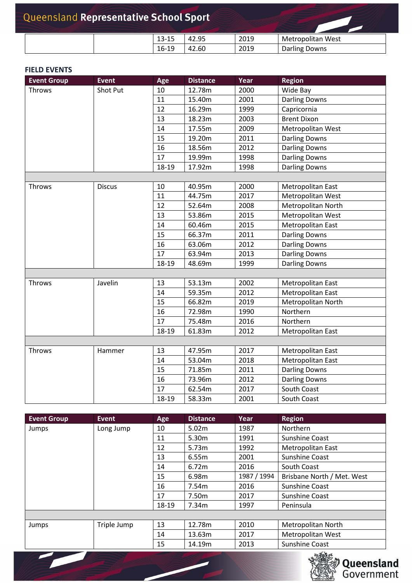|  | 13-15 | 42.95 | 2019 | Metropolitan West    |
|--|-------|-------|------|----------------------|
|  | 16-19 | 42.60 | 2019 | <b>Darling Downs</b> |

#### **FIELD EVENTS**

<span id="page-2-5"></span> $\sqrt{2}$ 

<span id="page-2-1"></span><span id="page-2-0"></span>

| <b>Event Group</b> | <b>Event</b>  | Age   | <b>Distance</b> | Year | <b>Region</b>        |
|--------------------|---------------|-------|-----------------|------|----------------------|
| Throws             | Shot Put      | 10    | 12.78m          | 2000 | Wide Bay             |
|                    |               | 11    | 15.40m          | 2001 | <b>Darling Downs</b> |
|                    |               | 12    | 16.29m          | 1999 | Capricornia          |
|                    |               | 13    | 18.23m          | 2003 | <b>Brent Dixon</b>   |
|                    |               | 14    | 17.55m          | 2009 | Metropolitan West    |
|                    |               | 15    | 19.20m          | 2011 | <b>Darling Downs</b> |
|                    |               | 16    | 18.56m          | 2012 | <b>Darling Downs</b> |
|                    |               | 17    | 19.99m          | 1998 | <b>Darling Downs</b> |
|                    |               | 18-19 | 17.92m          | 1998 | <b>Darling Downs</b> |
|                    |               |       |                 |      |                      |
| Throws             | <b>Discus</b> | 10    | 40.95m          | 2000 | Metropolitan East    |
|                    |               | 11    | 44.75m          | 2017 | Metropolitan West    |
|                    |               | 12    | 52.64m          | 2008 | Metropolitan North   |
|                    |               | 13    | 53.86m          | 2015 | Metropolitan West    |
|                    |               | 14    | 60.46m          | 2015 | Metropolitan East    |
|                    |               | 15    | 66.37m          | 2011 | <b>Darling Downs</b> |
|                    |               | 16    | 63.06m          | 2012 | <b>Darling Downs</b> |
|                    |               | 17    | 63.94m          | 2013 | <b>Darling Downs</b> |
|                    |               | 18-19 | 48.69m          | 1999 | <b>Darling Downs</b> |
|                    |               |       |                 |      |                      |
| Throws             | Javelin       | 13    | 53.13m          | 2002 | Metropolitan East    |
|                    |               | 14    | 59.35m          | 2012 | Metropolitan East    |
|                    |               | 15    | 66.82m          | 2019 | Metropolitan North   |
|                    |               | 16    | 72.98m          | 1990 | Northern             |
|                    |               | 17    | 75.48m          | 2016 | Northern             |
|                    |               | 18-19 | 61.83m          | 2012 | Metropolitan East    |
|                    |               |       |                 |      |                      |
| Throws             | Hammer        | 13    | 47.95m          | 2017 | Metropolitan East    |
|                    |               | 14    | 53.04m          | 2018 | Metropolitan East    |
|                    |               | 15    | 71.85m          | 2011 | <b>Darling Downs</b> |
|                    |               | 16    | 73.96m          | 2012 | <b>Darling Downs</b> |
|                    |               | 17    | 62.54m          | 2017 | South Coast          |
|                    |               | 18-19 | 58.33m          | 2001 | South Coast          |

<span id="page-2-4"></span><span id="page-2-3"></span><span id="page-2-2"></span>

| <b>Event Group</b> | Event       | Age   | <b>Distance</b> | Year        | <b>Region</b>              |
|--------------------|-------------|-------|-----------------|-------------|----------------------------|
| Jumps              | Long Jump   | 10    | 5.02m           | 1987        | Northern                   |
|                    |             | 11    | 5.30m           | 1991        | <b>Sunshine Coast</b>      |
|                    |             | 12    | 5.73m           | 1992        | Metropolitan East          |
|                    |             | 13    | 6.55m           | 2001        | Sunshine Coast             |
|                    |             | 14    | 6.72m           | 2016        | South Coast                |
|                    |             | 15    | 6.98m           | 1987 / 1994 | Brisbane North / Met. West |
|                    |             | 16    | 7.54m           | 2016        | Sunshine Coast             |
|                    |             | 17    | 7.50m           | 2017        | Sunshine Coast             |
|                    |             | 18-19 | 7.34m           | 1997        | Peninsula                  |
|                    |             |       |                 |             |                            |
| Jumps              | Triple Jump | 13    | 12.78m          | 2010        | Metropolitan North         |
|                    |             | 14    | 13.63m          | 2017        | <b>Metropolitan West</b>   |
|                    |             | 15    | 14.19m          | 2013        | Sunshine Coast             |

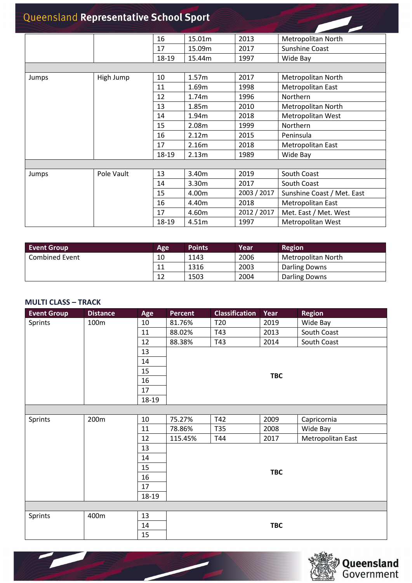<span id="page-3-0"></span>

|       |            | 16    | 15.01m | 2013        | Metropolitan North         |
|-------|------------|-------|--------|-------------|----------------------------|
|       |            | 17    | 15.09m | 2017        | <b>Sunshine Coast</b>      |
|       |            | 18-19 | 15.44m | 1997        | Wide Bay                   |
|       |            |       |        |             |                            |
| Jumps | High Jump  | 10    | 1.57m  | 2017        | Metropolitan North         |
|       |            | 11    | 1.69m  | 1998        | Metropolitan East          |
|       |            | 12    | 1.74m  | 1996        | Northern                   |
|       |            | 13    | 1.85m  | 2010        | Metropolitan North         |
|       |            | 14    | 1.94m  | 2018        | Metropolitan West          |
|       |            | 15    | 2.08m  | 1999        | Northern                   |
|       |            | 16    | 2.12m  | 2015        | Peninsula                  |
|       |            | 17    | 2.16m  | 2018        | Metropolitan East          |
|       |            | 18-19 | 2.13m  | 1989        | Wide Bay                   |
|       |            |       |        |             |                            |
| Jumps | Pole Vault | 13    | 3.40m  | 2019        | South Coast                |
|       |            | 14    | 3.30m  | 2017        | South Coast                |
|       |            | 15    | 4.00m  | 2003 / 2017 | Sunshine Coast / Met. East |
|       |            | 16    | 4.40m  | 2018        | Metropolitan East          |
|       |            | 17    | 4.60m  | 2012 / 2017 | Met. East / Met. West      |
|       |            | 18-19 | 4.51m  | 1997        | <b>Metropolitan West</b>   |

<span id="page-3-1"></span>

| <b>Event Group</b>    | Age | <b>Points</b> | Year | Region             |
|-----------------------|-----|---------------|------|--------------------|
| <b>Combined Event</b> | 10  | 1143          | 2006 | Metropolitan North |
|                       | 11  | 1316          | 2003 | Darling Downs      |
|                       | 12  | 1503          | 2004 | Darling Downs      |

#### <span id="page-3-2"></span>**MULTI CLASS – TRACK**

<span id="page-3-4"></span> $\overline{\phantom{0}}$ 

<span id="page-3-3"></span>

| <b>Event Group</b> | <b>Distance</b>  | Age   | <b>Percent</b> | <b>Classification</b> | Year | <b>Region</b>     |  |  |  |  |
|--------------------|------------------|-------|----------------|-----------------------|------|-------------------|--|--|--|--|
| Sprints            | 100m             | 10    | 81.76%         | T <sub>20</sub>       | 2019 | Wide Bay          |  |  |  |  |
|                    |                  | 11    | 88.02%         | T43                   | 2013 | South Coast       |  |  |  |  |
|                    |                  | 12    | 88.38%         | T43                   | 2014 | South Coast       |  |  |  |  |
|                    |                  | 13    |                |                       |      |                   |  |  |  |  |
|                    |                  | 14    |                |                       |      |                   |  |  |  |  |
|                    |                  | 15    |                |                       |      |                   |  |  |  |  |
|                    |                  | 16    |                | <b>TBC</b>            |      |                   |  |  |  |  |
|                    |                  | 17    |                |                       |      |                   |  |  |  |  |
|                    |                  | 18-19 |                |                       |      |                   |  |  |  |  |
|                    |                  |       |                |                       |      |                   |  |  |  |  |
| Sprints            | 200 <sub>m</sub> | 10    | 75.27%         | T42                   | 2009 | Capricornia       |  |  |  |  |
|                    |                  | 11    | 78.86%         | T35                   | 2008 | Wide Bay          |  |  |  |  |
|                    |                  | 12    | 115.45%        | T44                   | 2017 | Metropolitan East |  |  |  |  |
|                    |                  | 13    |                |                       |      |                   |  |  |  |  |
|                    |                  | 14    |                |                       |      |                   |  |  |  |  |
|                    |                  | 15    |                |                       |      |                   |  |  |  |  |
|                    |                  | 16    | <b>TBC</b>     |                       |      |                   |  |  |  |  |
|                    |                  | 17    |                |                       |      |                   |  |  |  |  |
|                    |                  | 18-19 |                |                       |      |                   |  |  |  |  |
|                    |                  |       |                |                       |      |                   |  |  |  |  |
| Sprints            | 400m             | 13    |                |                       |      |                   |  |  |  |  |
|                    |                  | 14    | <b>TBC</b>     |                       |      |                   |  |  |  |  |
|                    |                  | 15    |                |                       |      |                   |  |  |  |  |

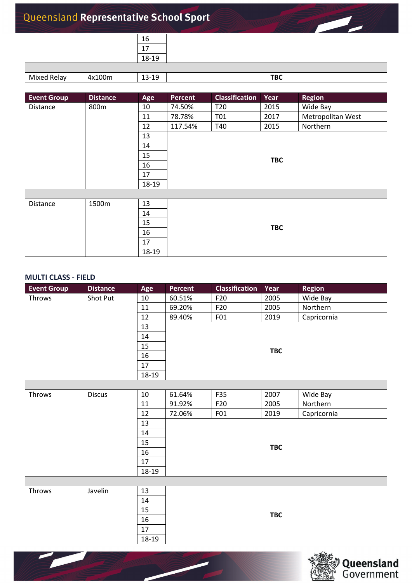|             |        | 16    |            |
|-------------|--------|-------|------------|
|             |        |       |            |
|             |        | 18-19 |            |
|             |        |       |            |
| Mixed Relay | 4x100m | 13-19 | <b>TBC</b> |

<span id="page-4-2"></span><span id="page-4-0"></span>

| <b>Event Group</b> | <b>Distance</b> | Age   | Percent    | <b>Classification</b> | Year | <b>Region</b>     |  |  |  |  |
|--------------------|-----------------|-------|------------|-----------------------|------|-------------------|--|--|--|--|
| Distance           | 800m            | 10    | 74.50%     | T <sub>20</sub>       | 2015 | Wide Bay          |  |  |  |  |
|                    |                 | 11    | 78.78%     | T01                   | 2017 | Metropolitan West |  |  |  |  |
|                    |                 | 12    | 117.54%    | T40                   | 2015 | Northern          |  |  |  |  |
|                    |                 | 13    |            |                       |      |                   |  |  |  |  |
|                    |                 | 14    |            |                       |      |                   |  |  |  |  |
|                    |                 | 15    |            |                       |      |                   |  |  |  |  |
|                    |                 | 16    | <b>TBC</b> |                       |      |                   |  |  |  |  |
|                    |                 | 17    |            |                       |      |                   |  |  |  |  |
|                    |                 | 18-19 |            |                       |      |                   |  |  |  |  |
|                    |                 |       |            |                       |      |                   |  |  |  |  |
| Distance           | 1500m           | 13    |            |                       |      |                   |  |  |  |  |
|                    |                 | 14    |            |                       |      |                   |  |  |  |  |
|                    |                 | 15    | <b>TBC</b> |                       |      |                   |  |  |  |  |
|                    |                 | 16    |            |                       |      |                   |  |  |  |  |
|                    |                 | 17    |            |                       |      |                   |  |  |  |  |
|                    |                 | 18-19 |            |                       |      |                   |  |  |  |  |

#### <span id="page-4-3"></span><span id="page-4-1"></span>**MULTI CLASS - FIELD**

<span id="page-4-5"></span>

<span id="page-4-4"></span>

| <b>Event Group</b> | <b>Distance</b> | Age    | Percent    | <b>Classification</b> | Year       | <b>Region</b> |  |  |  |  |
|--------------------|-----------------|--------|------------|-----------------------|------------|---------------|--|--|--|--|
| Throws             | Shot Put        | $10\,$ | 60.51%     | F20                   | 2005       | Wide Bay      |  |  |  |  |
|                    |                 | 11     | 69.20%     | F <sub>20</sub>       | 2005       | Northern      |  |  |  |  |
|                    |                 | 12     | 89.40%     | F01                   | 2019       | Capricornia   |  |  |  |  |
|                    |                 | 13     |            |                       |            |               |  |  |  |  |
|                    |                 | 14     |            |                       |            |               |  |  |  |  |
|                    |                 | 15     | <b>TBC</b> |                       |            |               |  |  |  |  |
|                    |                 | 16     |            |                       |            |               |  |  |  |  |
|                    |                 | 17     |            |                       |            |               |  |  |  |  |
|                    |                 | 18-19  |            |                       |            |               |  |  |  |  |
|                    |                 |        |            |                       |            |               |  |  |  |  |
| Throws             | <b>Discus</b>   | 10     | 61.64%     | F35                   | 2007       | Wide Bay      |  |  |  |  |
|                    |                 | $11\,$ | 91.92%     | F <sub>20</sub>       | 2005       | Northern      |  |  |  |  |
|                    |                 | 12     | 72.06%     | F01                   | 2019       | Capricornia   |  |  |  |  |
|                    |                 | 13     |            |                       |            |               |  |  |  |  |
|                    |                 | 14     |            |                       |            |               |  |  |  |  |
|                    |                 | 15     |            |                       |            |               |  |  |  |  |
|                    |                 | 16     |            |                       | <b>TBC</b> |               |  |  |  |  |
|                    |                 | 17     |            |                       |            |               |  |  |  |  |
|                    |                 | 18-19  |            |                       |            |               |  |  |  |  |
|                    |                 |        |            |                       |            |               |  |  |  |  |
| Throws             | Javelin         | 13     |            |                       |            |               |  |  |  |  |
|                    |                 | 14     |            |                       |            |               |  |  |  |  |
|                    |                 | 15     |            |                       |            |               |  |  |  |  |
|                    |                 | 16     |            | <b>TBC</b>            |            |               |  |  |  |  |
|                    |                 | 17     |            |                       |            |               |  |  |  |  |
|                    |                 | 18-19  |            |                       |            |               |  |  |  |  |